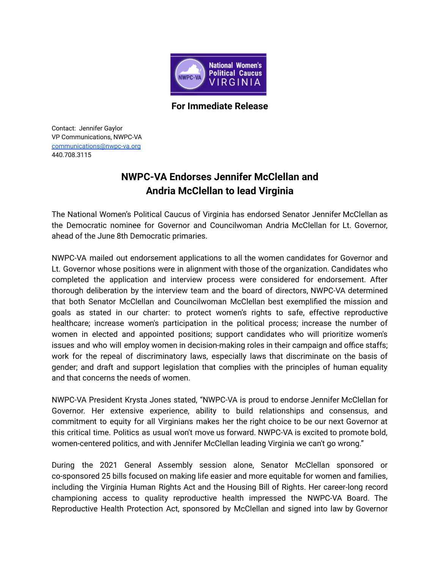

**For Immediate Release**

Contact: Jennifer Gaylor VP Communications, NWPC-VA [communications@nwpc-va.org](mailto:communications@nwpc-va.org) 440.708.3115

## **NWPC-VA Endorses Jennifer McClellan and Andria McClellan to lead Virginia**

The National Women's Political Caucus of Virginia has endorsed Senator Jennifer McClellan as the Democratic nominee for Governor and Councilwoman Andria McClellan for Lt. Governor, ahead of the June 8th Democratic primaries.

NWPC-VA mailed out endorsement applications to all the women candidates for Governor and Lt. Governor whose positions were in alignment with those of the organization. Candidates who completed the application and interview process were considered for endorsement. After thorough deliberation by the interview team and the board of directors, NWPC-VA determined that both Senator McClellan and Councilwoman McClellan best exemplified the mission and goals as stated in our charter: to protect women's rights to safe, effective reproductive healthcare; increase women's participation in the political process; increase the number of women in elected and appointed positions; support candidates who will prioritize women's issues and who will employ women in decision-making roles in their campaign and office staffs; work for the repeal of discriminatory laws, especially laws that discriminate on the basis of gender; and draft and support legislation that complies with the principles of human equality and that concerns the needs of women.

NWPC-VA President Krysta Jones stated, "NWPC-VA is proud to endorse Jennifer McClellan for Governor. Her extensive experience, ability to build relationships and consensus, and commitment to equity for all Virginians makes her the right choice to be our next Governor at this critical time. Politics as usual won't move us forward. NWPC-VA is excited to promote bold, women-centered politics, and with Jennifer McClellan leading Virginia we can't go wrong."

During the 2021 General Assembly session alone, Senator McClellan sponsored or co-sponsored 25 bills focused on making life easier and more equitable for women and families, including the Virginia Human Rights Act and the Housing Bill of Rights. Her career-long record championing access to quality reproductive health impressed the NWPC-VA Board. The Reproductive Health Protection Act, sponsored by McClellan and signed into law by Governor